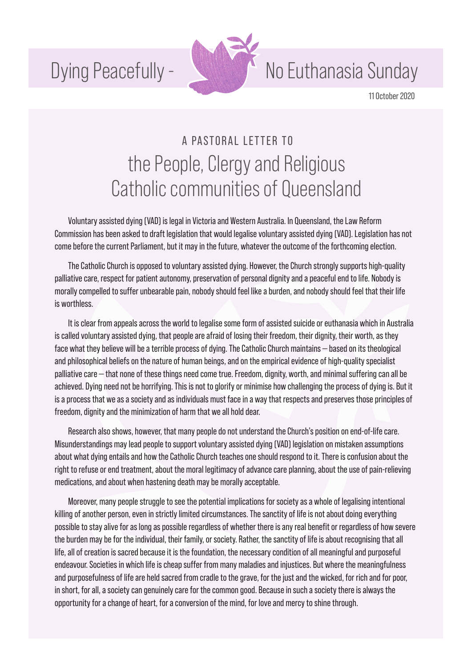

Dying Peacefully - No Euthanasia Sunday

11 October 2020

## the People, Clergy and Religious Catholic communities of Queensland A PASTORAL LETTER TO

Voluntary assisted dying (VAD) is legal in Victoria and Western Australia. In Queensland, the Law Reform Commission has been asked to draft legislation that would legalise voluntary assisted dying (VAD). Legislation has not come before the current Parliament, but it may in the future, whatever the outcome of the forthcoming election.

The Catholic Church is opposed to voluntary assisted dying. However, the Church strongly supports high-quality palliative care, respect for patient autonomy, preservation of personal dignity and a peaceful end to life. Nobody is morally compelled to suffer unbearable pain, nobody should feel like a burden, and nobody should feel that their life is worthless.

It is clear from appeals across the world to legalise some form of assisted suicide or euthanasia which in Australia is called voluntary assisted dying, that people are afraid of losing their freedom, their dignity, their worth, as they face what they believe will be a terrible process of dying. The Catholic Church maintains — based on its theological and philosophical beliefs on the nature of human beings, and on the empirical evidence of high-quality specialist palliative care — that none of these things need come true. Freedom, dignity, worth, and minimal suffering can all be achieved. Dying need not be horrifying. This is not to glorify or minimise how challenging the process of dying is. But it is a process that we as a society and as individuals must face in a way that respects and preserves those principles of freedom, dignity and the minimization of harm that we all hold dear.

Research also shows, however, that many people do not understand the Church's position on end-of-life care. Misunderstandings may lead people to support voluntary assisted dying (VAD) legislation on mistaken assumptions about what dying entails and how the Catholic Church teaches one should respond to it. There is confusion about the right to refuse or end treatment, about the moral legitimacy of advance care planning, about the use of pain-relieving medications, and about when hastening death may be morally acceptable.

Moreover, many people struggle to see the potential implications for society as a whole of legalising intentional killing of another person, even in strictly limited circumstances. The sanctity of life is not about doing everything possible to stay alive for as long as possible regardless of whether there is any real benefit or regardless of how severe the burden may be for the individual, their family, or society. Rather, the sanctity of life is about recognising that all life, all of creation is sacred because it is the foundation, the necessary condition of all meaningful and purposeful endeavour. Societies in which life is cheap suffer from many maladies and injustices. But where the meaningfulness and purposefulness of life are held sacred from cradle to the grave, for the just and the wicked, for rich and for poor, in short, for all, a society can genuinely care for the common good. Because in such a society there is always the opportunity for a change of heart, for a conversion of the mind, for love and mercy to shine through.